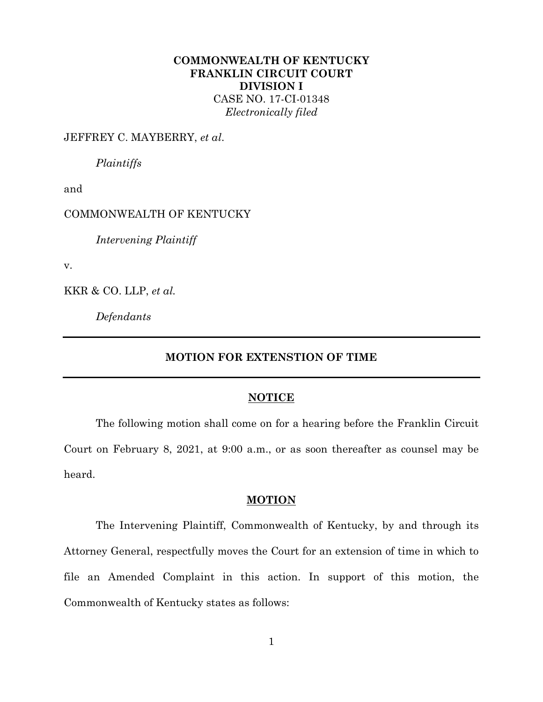# **COMMONWEALTH OF KENTUCKY FRANKLIN CIRCUIT COURT DIVISION I**

CASE NO. 17-CI-01348 *Electronically filed*

## JEFFREY C. MAYBERRY, *et al*.

*Plaintiffs*

and

## COMMONWEALTH OF KENTUCKY

*Intervening Plaintiff*

v.

KKR & CO. LLP, *et al.*

*Defendants*

## **MOTION FOR EXTENSTION OF TIME**

#### **NOTICE**

The following motion shall come on for a hearing before the Franklin Circuit Court on February 8, 2021, at 9:00 a.m., or as soon thereafter as counsel may be heard.

#### **MOTION**

The Intervening Plaintiff, Commonwealth of Kentucky, by and through its Attorney General, respectfully moves the Court for an extension of time in which to file an Amended Complaint in this action. In support of this motion, the Commonwealth of Kentucky states as follows: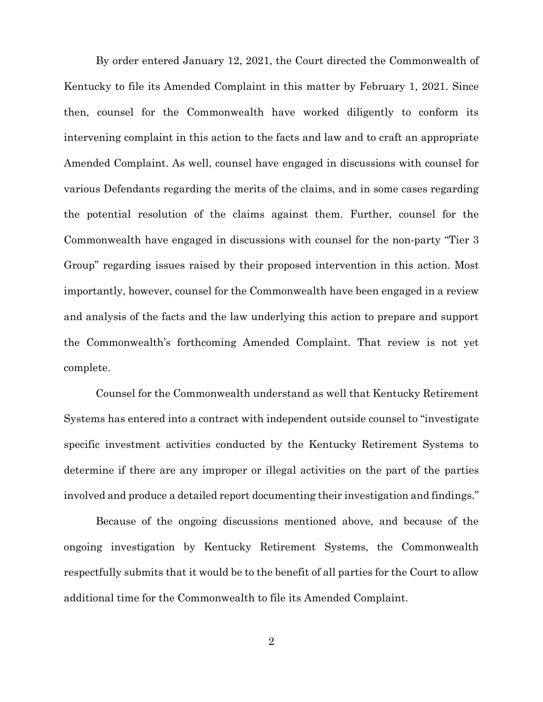By order entered January 12, 2021, the Court directed the Commonwealth of Kentucky to file its Amended Complaint in this matter by February 1, 2021. Since then, counsel for the Commonwealth have worked diligently to conform its intervening complaint in this action to the facts and law and to craft an appropriate Amended Complaint. As well, counsel have engaged in discussions with counsel for various Defendants regarding the merits of the claims, and in some cases regarding the potential resolution of the claims against them. Further, counsel for the Commonwealth have engaged in discussions with counsel for the non-party "Tier 3 Group" regarding issues raised by their proposed intervention in this action. Most importantly, however, counsel for the Commonwealth have been engaged in a review and analysis of the facts and the law underlying this action to prepare and support the Commonwealth's forthcoming Amended Complaint. That review is not yet complete.

Counsel for the Commonwealth understand as well that Kentucky Retirement Systems has entered into a contract with independent outside counsel to "investigate specific investment activities conducted by the Kentucky Retirement Systems to determine if there are any improper or illegal activities on the part of the parties involved and produce a detailed report documenting their investigation and findings."

Because of the ongoing discussions mentioned above, and because of the ongoing investigation by Kentucky Retirement Systems, the Commonwealth respectfully submits that it would be to the benefit of all parties for the Court to allow additional time for the Commonwealth to file its Amended Complaint.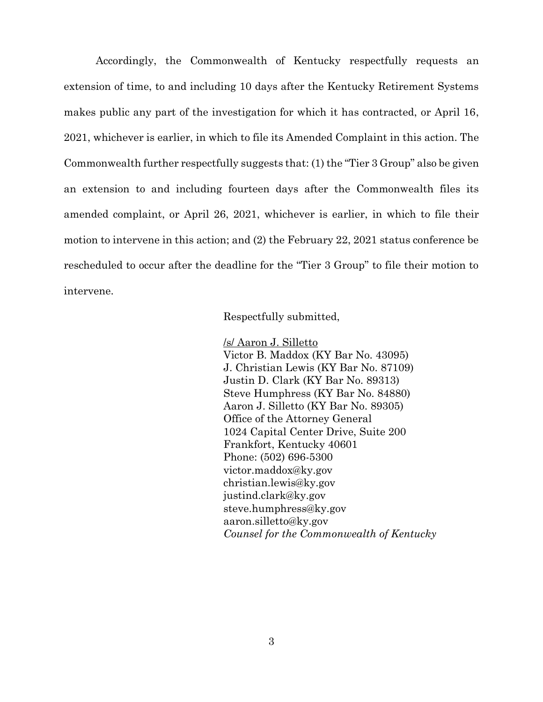Accordingly, the Commonwealth of Kentucky respectfully requests an extension of time, to and including 10 days after the Kentucky Retirement Systems makes public any part of the investigation for which it has contracted, or April 16, 2021, whichever is earlier, in which to file its Amended Complaint in this action. The Commonwealth further respectfully suggests that: (1) the "Tier 3 Group" also be given an extension to and including fourteen days after the Commonwealth files its amended complaint, or April 26, 2021, whichever is earlier, in which to file their motion to intervene in this action; and (2) the February 22, 2021 status conference be rescheduled to occur after the deadline for the "Tier 3 Group" to file their motion to intervene.

Respectfully submitted,

/s/ Aaron J. Silletto Victor B. Maddox (KY Bar No. 43095) J. Christian Lewis (KY Bar No. 87109) Justin D. Clark (KY Bar No. 89313) Steve Humphress (KY Bar No. 84880) Aaron J. Silletto (KY Bar No. 89305) Office of the Attorney General 1024 Capital Center Drive, Suite 200 Frankfort, Kentucky 40601 Phone: (502) 696-5300 victor.maddox@ky.gov christian.lewis@ky.gov justind.clark@ky.gov steve.humphress@ky.gov aaron.silletto@ky.gov *Counsel for the Commonwealth of Kentucky*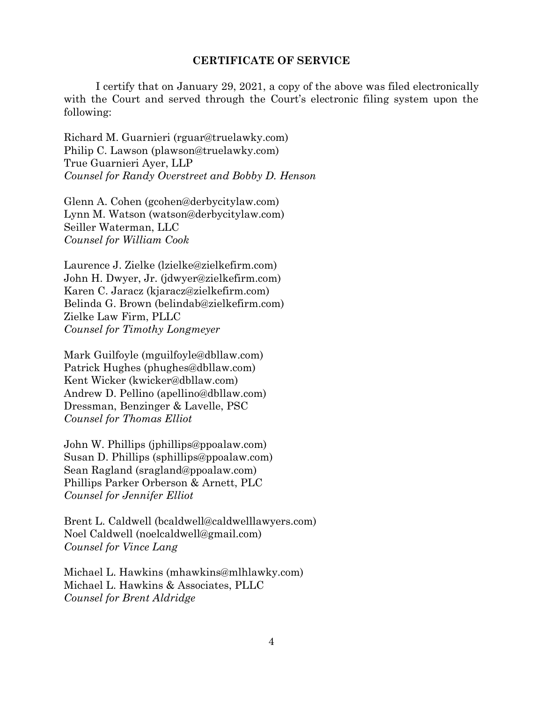#### **CERTIFICATE OF SERVICE**

I certify that on January 29, 2021, a copy of the above was filed electronically with the Court and served through the Court's electronic filing system upon the following:

Richard M. Guarnieri (rguar@truelawky.com) Philip C. Lawson (plawson@truelawky.com) True Guarnieri Ayer, LLP *Counsel for Randy Overstreet and Bobby D. Henson*

Glenn A. Cohen (gcohen@derbycitylaw.com) Lynn M. Watson (watson@derbycitylaw.com) Seiller Waterman, LLC *Counsel for William Cook*

Laurence J. Zielke (lzielke@zielkefirm.com) John H. Dwyer, Jr. (jdwyer@zielkefirm.com) Karen C. Jaracz (kjaracz@zielkefirm.com) Belinda G. Brown (belindab@zielkefirm.com) Zielke Law Firm, PLLC *Counsel for Timothy Longmeyer*

Mark Guilfoyle (mguilfoyle@dbllaw.com) Patrick Hughes (phughes@dbllaw.com) Kent Wicker (kwicker@dbllaw.com) Andrew D. Pellino (apellino@dbllaw.com) Dressman, Benzinger & Lavelle, PSC *Counsel for Thomas Elliot*

John W. Phillips (jphillips@ppoalaw.com) Susan D. Phillips (sphillips@ppoalaw.com) Sean Ragland (sragland@ppoalaw.com) Phillips Parker Orberson & Arnett, PLC *Counsel for Jennifer Elliot*

Brent L. Caldwell (bcaldwell@caldwelllawyers.com) Noel Caldwell (noelcaldwell@gmail.com) *Counsel for Vince Lang*

Michael L. Hawkins (mhawkins@mlhlawky.com) Michael L. Hawkins & Associates, PLLC *Counsel for Brent Aldridge*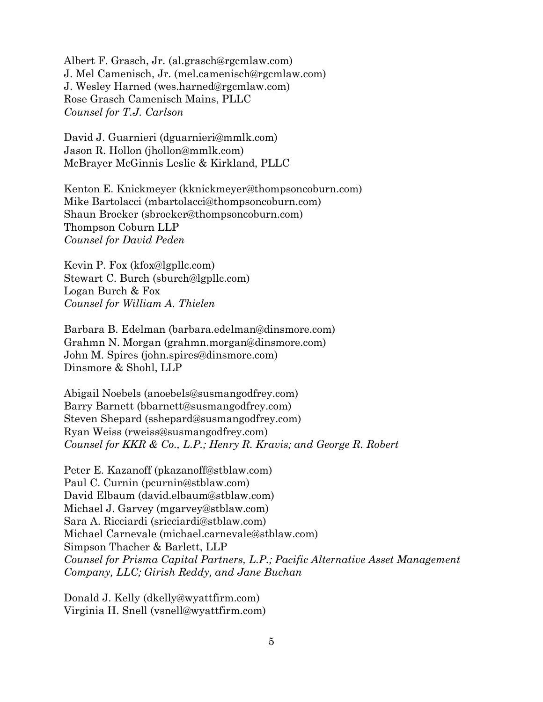Albert F. Grasch, Jr. (al.grasch@rgcmlaw.com) J. Mel Camenisch, Jr. (mel.camenisch@rgcmlaw.com) J. Wesley Harned (wes.harned@rgcmlaw.com) Rose Grasch Camenisch Mains, PLLC *Counsel for T.J. Carlson*

David J. Guarnieri (dguarnieri@mmlk.com) Jason R. Hollon (jhollon@mmlk.com) McBrayer McGinnis Leslie & Kirkland, PLLC

Kenton E. Knickmeyer (kknickmeyer@thompsoncoburn.com) Mike Bartolacci (mbartolacci@thompsoncoburn.com) Shaun Broeker (sbroeker@thompsoncoburn.com) Thompson Coburn LLP *Counsel for David Peden*

Kevin P. Fox (kfox@lgpllc.com) Stewart C. Burch (sburch@lgpllc.com) Logan Burch & Fox *Counsel for William A. Thielen*

Barbara B. Edelman (barbara.edelman@dinsmore.com) Grahmn N. Morgan (grahmn.morgan@dinsmore.com) John M. Spires (john.spires@dinsmore.com) Dinsmore & Shohl, LLP

Abigail Noebels (anoebels@susmangodfrey.com) Barry Barnett (bbarnett@susmangodfrey.com) Steven Shepard (sshepard@susmangodfrey.com) Ryan Weiss (rweiss@susmangodfrey.com) *Counsel for KKR & Co., L.P.; Henry R. Kravis; and George R. Robert*

Peter E. Kazanoff (pkazanoff@stblaw.com) Paul C. Curnin (pcurnin@stblaw.com) David Elbaum (david.elbaum@stblaw.com) Michael J. Garvey (mgarvey@stblaw.com) Sara A. Ricciardi (sricciardi@stblaw.com) Michael Carnevale (michael.carnevale@stblaw.com) Simpson Thacher & Barlett, LLP *Counsel for Prisma Capital Partners, L.P.; Pacific Alternative Asset Management Company, LLC; Girish Reddy, and Jane Buchan*

Donald J. Kelly (dkelly@wyattfirm.com) Virginia H. Snell (vsnell@wyattfirm.com)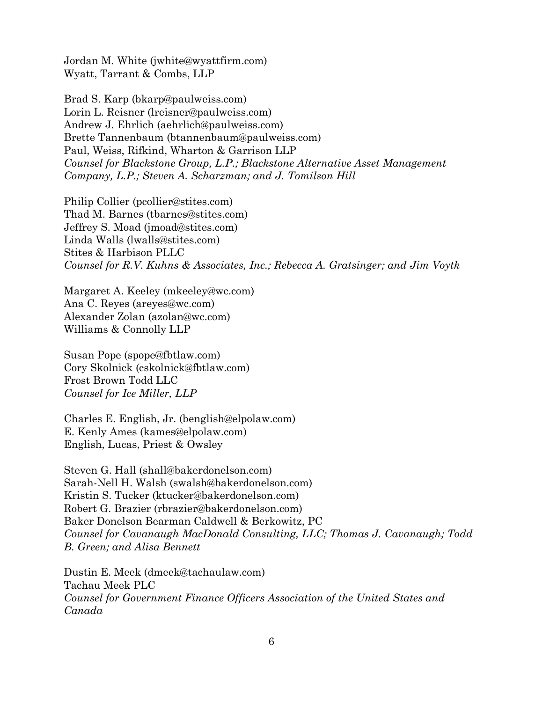Jordan M. White (jwhite@wyattfirm.com) Wyatt, Tarrant & Combs, LLP

Brad S. Karp (bkarp@paulweiss.com) Lorin L. Reisner (lreisner@paulweiss.com) Andrew J. Ehrlich (aehrlich@paulweiss.com) Brette Tannenbaum (btannenbaum@paulweiss.com) Paul, Weiss, Rifkind, Wharton & Garrison LLP *Counsel for Blackstone Group, L.P.; Blackstone Alternative Asset Management Company, L.P.; Steven A. Scharzman; and J. Tomilson Hill*

Philip Collier (pcollier@stites.com) Thad M. Barnes (tbarnes@stites.com) Jeffrey S. Moad (jmoad@stites.com) Linda Walls (lwalls@stites.com) Stites & Harbison PLLC *Counsel for R.V. Kuhns & Associates, Inc.; Rebecca A. Gratsinger; and Jim Voytk*

Margaret A. Keeley (mkeeley@wc.com) Ana C. Reyes (areyes@wc.com) Alexander Zolan (azolan@wc.com) Williams & Connolly LLP

Susan Pope (spope@fbtlaw.com) Cory Skolnick (cskolnick@fbtlaw.com) Frost Brown Todd LLC *Counsel for Ice Miller, LLP*

Charles E. English, Jr. (benglish@elpolaw.com) E. Kenly Ames (kames@elpolaw.com) English, Lucas, Priest & Owsley

Steven G. Hall (shall@bakerdonelson.com) Sarah-Nell H. Walsh (swalsh@bakerdonelson.com) Kristin S. Tucker (ktucker@bakerdonelson.com) Robert G. Brazier (rbrazier@bakerdonelson.com) Baker Donelson Bearman Caldwell & Berkowitz, PC *Counsel for Cavanaugh MacDonald Consulting, LLC; Thomas J. Cavanaugh; Todd B. Green; and Alisa Bennett*

Dustin E. Meek (dmeek@tachaulaw.com) Tachau Meek PLC *Counsel for Government Finance Officers Association of the United States and Canada*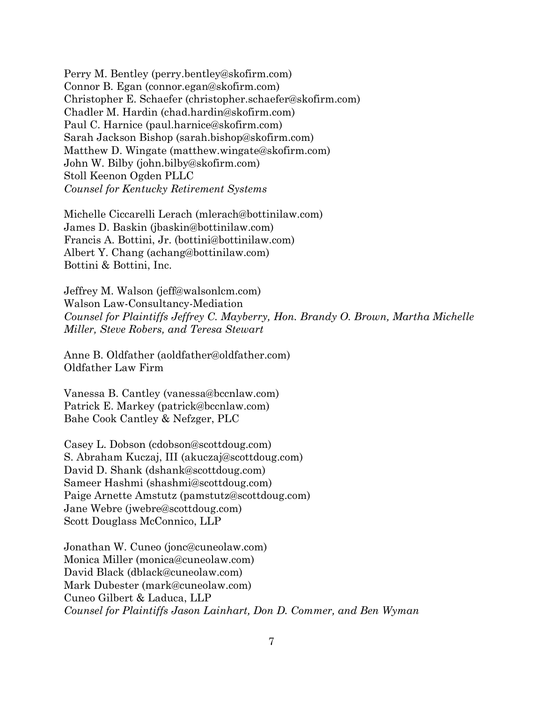Perry M. Bentley (perry.bentley@skofirm.com) Connor B. Egan (connor.egan@skofirm.com) Christopher E. Schaefer (christopher.schaefer@skofirm.com) Chadler M. Hardin (chad.hardin@skofirm.com) Paul C. Harnice (paul.harnice@skofirm.com) Sarah Jackson Bishop (sarah.bishop@skofirm.com) Matthew D. Wingate (matthew.wingate@skofirm.com) John W. Bilby (john.bilby@skofirm.com) Stoll Keenon Ogden PLLC *Counsel for Kentucky Retirement Systems*

Michelle Ciccarelli Lerach (mlerach@bottinilaw.com) James D. Baskin (jbaskin@bottinilaw.com) Francis A. Bottini, Jr. (bottini@bottinilaw.com) Albert Y. Chang (achang@bottinilaw.com) Bottini & Bottini, Inc.

Jeffrey M. Walson (jeff@walsonlcm.com) Walson Law-Consultancy-Mediation *Counsel for Plaintiffs Jeffrey C. Mayberry, Hon. Brandy O. Brown, Martha Michelle Miller, Steve Robers, and Teresa Stewart*

Anne B. Oldfather (aoldfather@oldfather.com) Oldfather Law Firm

Vanessa B. Cantley (vanessa@bccnlaw.com) Patrick E. Markey (patrick@bccnlaw.com) Bahe Cook Cantley & Nefzger, PLC

Casey L. Dobson (cdobson@scottdoug.com) S. Abraham Kuczaj, III (akuczaj@scottdoug.com) David D. Shank (dshank@scottdoug.com) Sameer Hashmi (shashmi@scottdoug.com) Paige Arnette Amstutz (pamstutz@scottdoug.com) Jane Webre (jwebre@scottdoug.com) Scott Douglass McConnico, LLP

Jonathan W. Cuneo (jonc@cuneolaw.com) Monica Miller (monica@cuneolaw.com) David Black (dblack@cuneolaw.com) Mark Dubester (mark@cuneolaw.com) Cuneo Gilbert & Laduca, LLP *Counsel for Plaintiffs Jason Lainhart, Don D. Commer, and Ben Wyman*